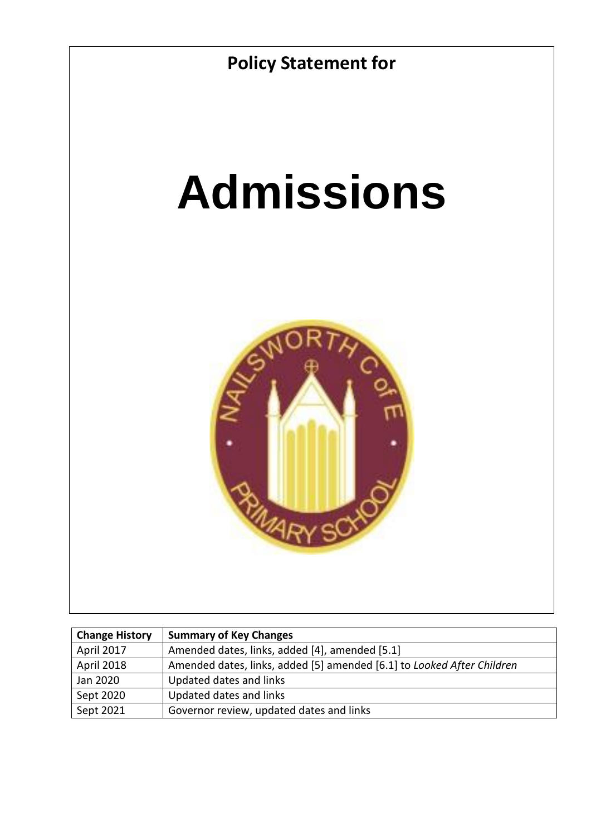

| <b>Change History</b> | <b>Summary of Key Changes</b>                                          |
|-----------------------|------------------------------------------------------------------------|
| April 2017            | Amended dates, links, added [4], amended [5.1]                         |
| April 2018            | Amended dates, links, added [5] amended [6.1] to Looked After Children |
| Jan 2020              | Updated dates and links                                                |
| Sept 2020             | Updated dates and links                                                |
| Sept 2021             | Governor review, updated dates and links                               |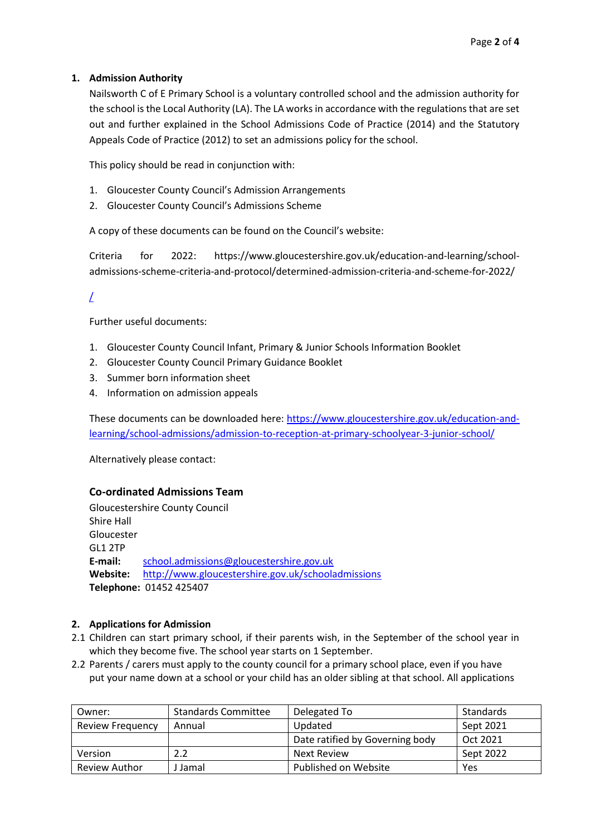## **1. Admission Authority**

Nailsworth C of E Primary School is a voluntary controlled school and the admission authority for the school is the Local Authority (LA). The LA works in accordance with the regulations that are set out and further explained in the School Admissions Code of Practice (2014) and the Statutory Appeals Code of Practice (2012) to set an admissions policy for the school.

This policy should be read in conjunction with:

- 1. Gloucester County Council's Admission Arrangements
- 2. Gloucester County Council's Admissions Scheme

A copy of these documents can be found on the Council's website:

Criteria for 2022: https://www.gloucestershire.gov.uk/education-and-learning/schooladmissions-scheme-criteria-and-protocol/determined-admission-criteria-and-scheme-for-2022/

# $\perp$

Further useful documents:

- 1. Gloucester County Council Infant, Primary & Junior Schools Information Booklet
- 2. Gloucester County Council Primary Guidance Booklet
- 3. Summer born information sheet
- 4. Information on admission appeals

These documents can be downloaded here: [https://www.gloucestershire.gov.uk/education-and](https://www.gloucestershire.gov.uk/education-and-learning/school-admissions/admission-to-reception-at-primary-schoolyear-3-junior-school/)[learning/school-admissions/admission-to-reception-at-primary-schoolyear-3-junior-school/](https://www.gloucestershire.gov.uk/education-and-learning/school-admissions/admission-to-reception-at-primary-schoolyear-3-junior-school/)

Alternatively please contact:

#### **Co-ordinated Admissions Team**

Gloucestershire County Council Shire Hall Gloucester GL1 2TP **E-mail:** [school.admissions@gloucestershire.gov.uk](mailto:school.admissions@gloucestershire.gov.uk) **Website:** <http://www.gloucestershire.gov.uk/schooladmissions> **Telephone:** 01452 425407

#### **2. Applications for Admission**

- 2.1 Children can start primary school, if their parents wish, in the September of the school year in which they become five. The school year starts on 1 September.
- 2.2 Parents / carers must apply to the county council for a primary school place, even if you have put your name down at a school or your child has an older sibling at that school. All applications

| Owner:                  | <b>Standards Committee</b> | Delegated To                    | Standards |
|-------------------------|----------------------------|---------------------------------|-----------|
| <b>Review Frequency</b> | Annual                     | Updated                         | Sept 2021 |
|                         |                            | Date ratified by Governing body | Oct 2021  |
| Version                 |                            | Next Review                     | Sept 2022 |
| Review Author           | Jamal                      | Published on Website            | Yes       |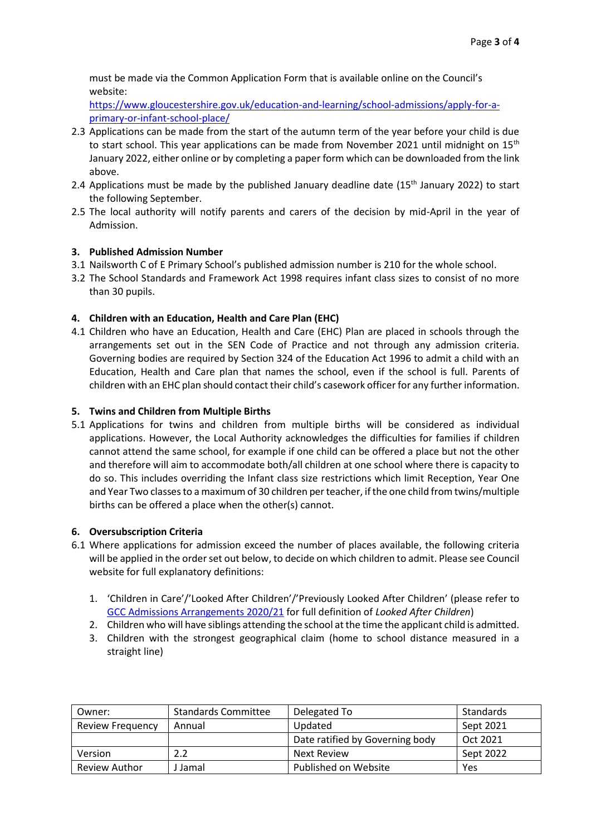must be made via the Common Application Form that is available online on the Council's website:

[https://www.gloucestershire.gov.uk/education-and-learning/school-admissions/apply-for-a](https://www.gloucestershire.gov.uk/education-and-learning/school-admissions/apply-for-a-primary-or-infant-school-place/)[primary-or-infant-school-place/](https://www.gloucestershire.gov.uk/education-and-learning/school-admissions/apply-for-a-primary-or-infant-school-place/)

- 2.3 Applications can be made from the start of the autumn term of the year before your child is due to start school. This year applications can be made from November 2021 until midnight on 15<sup>th</sup> January 2022, either online or by completing a paper form which can be downloaded from the link above.
- 2.4 Applications must be made by the published January deadline date (15<sup>th</sup> January 2022) to start the following September.
- 2.5 The local authority will notify parents and carers of the decision by mid-April in the year of Admission.

## **3. Published Admission Number**

- 3.1 Nailsworth C of E Primary School's published admission number is 210 for the whole school.
- 3.2 The School Standards and Framework Act 1998 requires infant class sizes to consist of no more than 30 pupils.

## **4. Children with an Education, Health and Care Plan (EHC)**

4.1 Children who have an Education, Health and Care (EHC) Plan are placed in schools through the arrangements set out in the SEN Code of Practice and not through any admission criteria. Governing bodies are required by Section 324 of the Education Act 1996 to admit a child with an Education, Health and Care plan that names the school, even if the school is full. Parents of children with an EHC plan should contact their child's casework officer for any further information.

## **5. Twins and Children from Multiple Births**

5.1 Applications for twins and children from multiple births will be considered as individual applications. However, the Local Authority acknowledges the difficulties for families if children cannot attend the same school, for example if one child can be offered a place but not the other and therefore will aim to accommodate both/all children at one school where there is capacity to do so. This includes overriding the Infant class size restrictions which limit Reception, Year One and Year Two classes to a maximum of 30 children per teacher, if the one child from twins/multiple births can be offered a place when the other(s) cannot.

#### **6. Oversubscription Criteria**

- 6.1 Where applications for admission exceed the number of places available, the following criteria will be applied in the order set out below, to decide on which children to admit. Please see Council website for full explanatory definitions:
	- 1. 'Children in Care'/'Looked After Children'/'Previously Looked After Children' (please refer to [GCC Admissions Arrangements 2020/21](https://www.gloucestershire.gov.uk/media/2086811/gcc-admission-arrangements-determined-2020-21.pdf) for full definition of *Looked After Children*)
	- 2. Children who will have siblings attending the school at the time the applicant child is admitted.
	- 3. Children with the strongest geographical claim (home to school distance measured in a straight line)

| Owner:                  | <b>Standards Committee</b> | Delegated To                    | Standards |
|-------------------------|----------------------------|---------------------------------|-----------|
| <b>Review Frequency</b> | Annual                     | Updated                         | Sept 2021 |
|                         |                            | Date ratified by Governing body | Oct 2021  |
| Version                 | 2.2                        | <b>Next Review</b>              | Sept 2022 |
| <b>Review Author</b>    | I Jamal                    | Published on Website            | Yes       |